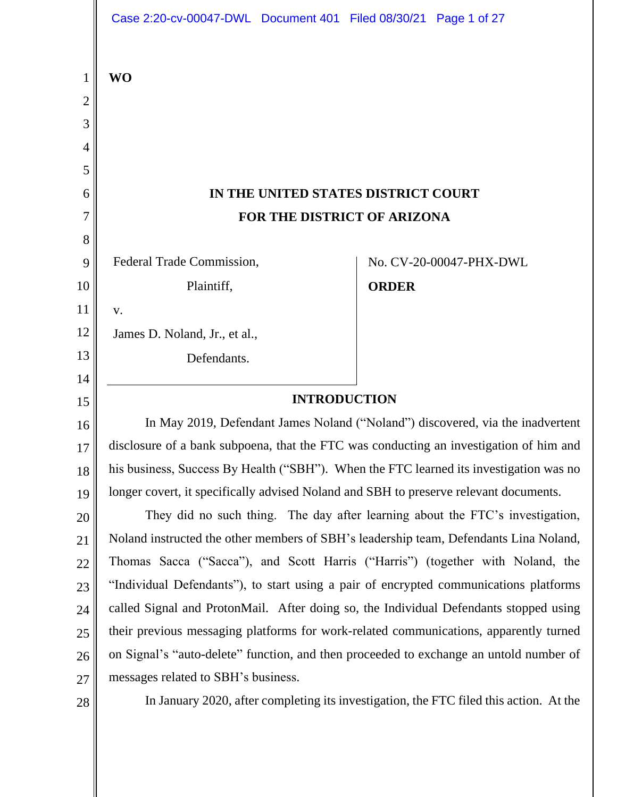|                               | Case 2:20-cv-00047-DWL Document 401 Filed 08/30/21 Page 1 of 27                        |              |                         |
|-------------------------------|----------------------------------------------------------------------------------------|--------------|-------------------------|
| $\mathbf 1$<br>$\overline{2}$ | <b>WO</b>                                                                              |              |                         |
| 3                             |                                                                                        |              |                         |
| 4                             |                                                                                        |              |                         |
| 5                             |                                                                                        |              |                         |
| 6                             | IN THE UNITED STATES DISTRICT COURT                                                    |              |                         |
| 7                             | FOR THE DISTRICT OF ARIZONA                                                            |              |                         |
| 8                             |                                                                                        |              |                         |
| 9                             | Federal Trade Commission,                                                              |              | No. CV-20-00047-PHX-DWL |
| 10                            | Plaintiff,                                                                             | <b>ORDER</b> |                         |
| 11                            | V.                                                                                     |              |                         |
| 12                            | James D. Noland, Jr., et al.,                                                          |              |                         |
| 13                            | Defendants.                                                                            |              |                         |
| 14                            |                                                                                        |              |                         |
| 15                            | <b>INTRODUCTION</b>                                                                    |              |                         |
| 16                            | In May 2019, Defendant James Noland ("Noland") discovered, via the inadvertent         |              |                         |
| 17                            | disclosure of a bank subpoena, that the FTC was conducting an investigation of him and |              |                         |
| 18                            | his business, Success By Health ("SBH"). When the FTC learned its investigation was no |              |                         |
| 19                            | longer covert, it specifically advised Noland and SBH to preserve relevant documents.  |              |                         |
| 20                            | They did no such thing. The day after learning about the FTC's investigation,          |              |                         |
| 21                            | Noland instructed the other members of SBH's leadership team, Defendants Lina Noland,  |              |                         |
| 22                            | Thomas Sacca ("Sacca"), and Scott Harris ("Harris") (together with Noland, the         |              |                         |
| 23                            | "Individual Defendants"), to start using a pair of encrypted communications platforms  |              |                         |
| 24                            | called Signal and ProtonMail. After doing so, the Individual Defendants stopped using  |              |                         |
| 25                            | their previous messaging platforms for work-related communications, apparently turned  |              |                         |
| 26                            | on Signal's "auto-delete" function, and then proceeded to exchange an untold number of |              |                         |
| 27                            | messages related to SBH's business.                                                    |              |                         |
| 28                            | In January 2020, after completing its investigation, the FTC filed this action. At the |              |                         |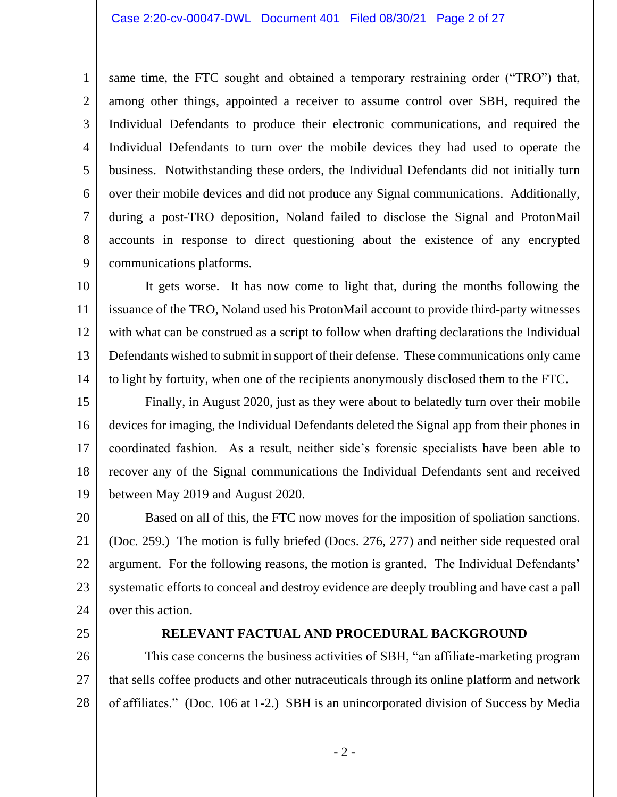#### Case 2:20-cv-00047-DWL Document 401 Filed 08/30/21 Page 2 of 27

 Individual Defendants to turn over the mobile devices they had used to operate the accounts in response to direct questioning about the existence of any encrypted 6 7 same time, the FTC sought and obtained a temporary restraining order ("TRO") that, among other things, appointed a receiver to assume control over SBH, required the Individual Defendants to produce their electronic communications, and required the business. Notwithstanding these orders, the Individual Defendants did not initially turn over their mobile devices and did not produce any Signal communications. Additionally, during a post-TRO deposition, Noland failed to disclose the Signal and ProtonMail communications platforms.

 It gets worse. It has now come to light that, during the months following the with what can be construed as a script to follow when drafting declarations the Individual Defendants wished to submit in support of their defense. These communications only came 10 11 12 13 14 issuance of the TRO, Noland used his ProtonMail account to provide third-party witnesses to light by fortuity, when one of the recipients anonymously disclosed them to the FTC.

 devices for imaging, the Individual Defendants deleted the Signal app from their phones in recover any of the Signal communications the Individual Defendants sent and received 15 16 17 18 19 Finally, in August 2020, just as they were about to belatedly turn over their mobile coordinated fashion. As a result, neither side's forensic specialists have been able to between May 2019 and August 2020.

Based on all of this, the FTC now moves for the imposition of spoliation sanctions. Based on all of this, the FTC now moves for the imposition of spoliation sanctions.<br>(Doc. 259.) The motion is fully briefed (Docs. 276, 277) and neither side requested oral argument. For the following reasons, the motion is granted. The Individual Defendants' systematic efforts to conceal and destroy evidence are deeply troubling and have cast a pall 20 21 22 23 24 over this action.

25

1

2

3

4

5

8

9

### **RELEVANT FACTUAL AND PROCEDURAL BACKGROUND**

26 27 28 This case concerns the business activities of SBH, "an affiliate-marketing program that sells coffee products and other nutraceuticals through its online platform and network of affiliates." (Doc. 106 at 1-2.) SBH is an unincorporated division of Success by Media

- 2 -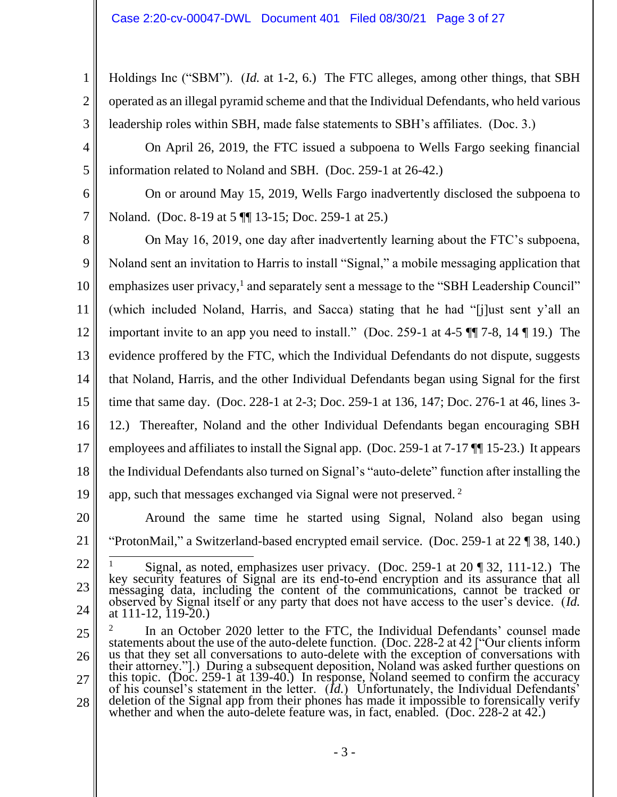Holdings Inc ("SBM"). (*Id.* at 1-2, 6.) The FTC alleges, among other things, that SBH operated as an illegal pyramid scheme and that the Individual Defendants, who held various leadership roles within SBH, made false statements to SBH's affiliates. (Doc. 3.)

 On April 26, 2019, the FTC issued a subpoena to Wells Fargo seeking financial information related to Noland and SBH. (Doc. 259-1 at 26-42.)

On or around May 15, 2019, Wells Fargo inadvertently disclosed the subpoena to Noland. (Doc. 8-19 at 5 ¶¶ 13-15; Doc. 259-1 at 25.)

 On May 16, 2019, one day after inadvertently learning about the FTC's subpoena, important invite to an app you need to install." (Doc. 259-1 at 4-5  $\P$  7-8, 14  $\P$  19.) The time that same day. (Doc. 228-1 at 2-3; Doc. 259-1 at 136, 147; Doc. 276-1 at 46, lines 3- 12.) Thereafter, Noland and the other Individual Defendants began encouraging SBH employees and affiliates to install the Signal app. (Doc. 259-1 at 7-17 ¶¶ 15-23.) It appears 8 9 10 11 12 13 14 15 16 17 18 19 Noland sent an invitation to Harris to install "Signal," a mobile messaging application that emphasizes user privacy,<sup>1</sup> and separately sent a message to the "SBH Leadership Council" (which included Noland, Harris, and Sacca) stating that he had "[j]ust sent y'all an evidence proffered by the FTC, which the Individual Defendants do not dispute, suggests that Noland, Harris, and the other Individual Defendants began using Signal for the first the Individual Defendants also turned on Signal's "auto-delete" function after installing the app, such that messages exchanged via Signal were not preserved.<sup>2</sup>

20 21

1

2

3

4

5

6

7

 "ProtonMail," a Switzerland-based encrypted email service. (Doc. 259-1 at 22 ¶ 38, 140.) Around the same time he started using Signal, Noland also began using

<sup>22</sup>

<sup>&</sup>lt;sup>1</sup> Signal, as noted, emphasizes user privacy. (Doc. 259-1 at 20 ¶ 32, 111-12.) The messaging data, including the content of the communications, cannot be tracked or 23 24 key security features of Signal are its end-to-end encryption and its assurance that all messaging data, including the content of the communications, cannot be tracked or observed by Signal itself or any party that does not have access to the user's device. (*Id.*  at 111-12, 119-20.)

us that they set all conversations to auto-delete with the exception of conversations with<br>their attorney."].) During a subsequent deposition, Noland was asked further questions on<br>this topic. (Doc. 259-1 at 139-40.) In r 25 26 27 28  $2^2$  In an October 2020 letter to the FTC, the Individual Defendants' counsel made statements about the use of the auto-delete function. (Doc. 228-2 at 42 ["Our clients inform deletion of the Signal app from their phones has made it impossible to forensically verify whether and when the auto-delete feature was, in fact, enabled. (Doc. 228-2 at 42.)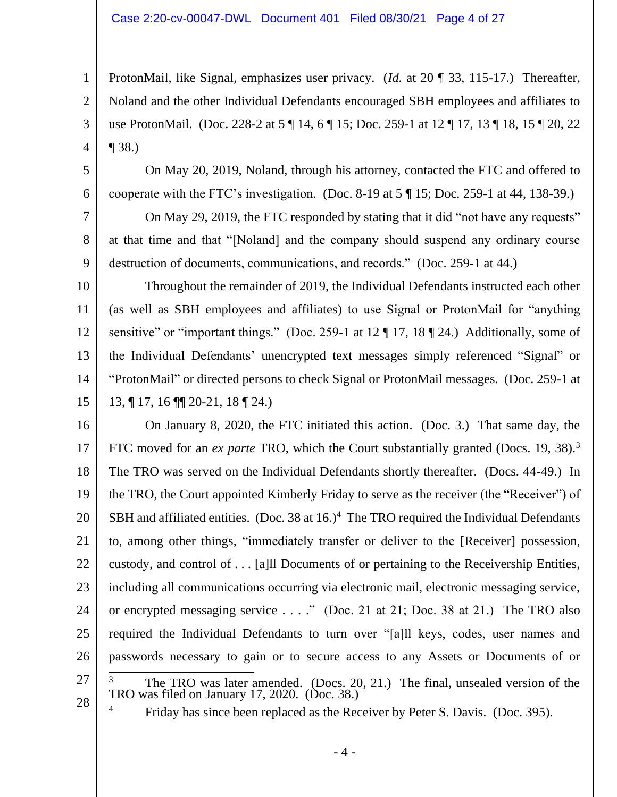### Case 2:20-cv-00047-DWL Document 401 Filed 08/30/21 Page 4 of 27

ProtonMail, like Signal, emphasizes user privacy. (*Id.* at 20 ¶ 33, 115-17.) Thereafter, Noland and the other Individual Defendants encouraged SBH employees and affiliates to use ProtonMail. (Doc. 228-2 at 5 ¶ 14, 6 ¶ 15; Doc. 259-1 at 12 ¶ 17, 13 ¶ 18, 15 ¶ 20, 22 ¶ 38.)

On May 20, 2019, Noland, through his attorney, contacted the FTC and offered to cooperate with the FTC's investigation. (Doc. 8-19 at 5 ¶ 15; Doc. 259-1 at 44, 138-39.)

 at that time and that "[Noland] and the company should suspend any ordinary course On May 29, 2019, the FTC responded by stating that it did "not have any requests" destruction of documents, communications, and records." (Doc. 259-1 at 44.)

 "ProtonMail" or directed persons to check Signal or ProtonMail messages. (Doc. 259-1 at 10 11 12 13 14 15 Throughout the remainder of 2019, the Individual Defendants instructed each other (as well as SBH employees and affiliates) to use Signal or ProtonMail for "anything sensitive" or "important things." (Doc. 259-1 at 12 ¶ 17, 18 ¶ 24.) Additionally, some of the Individual Defendants' unencrypted text messages simply referenced "Signal" or 13, ¶ 17, 16 ¶¶ 20-21, 18 ¶ 24.)

 On January 8, 2020, the FTC initiated this action. (Doc. 3.) That same day, the FTC moved for an *ex parte* TRO, which the Court substantially granted (Docs. 19, 38).3 SBH and affiliated entities. (Doc. 38 at  $16.$ )<sup>4</sup> The TRO required the Individual Defendants or encrypted messaging service . . . ." (Doc. 21 at 21; Doc. 38 at 21.) The TRO also required the Individual Defendants to turn over "[a]ll keys, codes, user names and  $3$  The TRO was later amended. (Docs. 20, 21.) The final, unsealed version of the 16 17 18 19 20 21 22 23 24 25 26 27 The TRO was served on the Individual Defendants shortly thereafter. (Docs. 44-49.) In the TRO, the Court appointed Kimberly Friday to serve as the receiver (the "Receiver") of to, among other things, "immediately transfer or deliver to the [Receiver] possession, custody, and control of . . . [a]ll Documents of or pertaining to the Receivership Entities, including all communications occurring via electronic mail, electronic messaging service, passwords necessary to gain or to secure access to any Assets or Documents of or

28

1

2

3

4

5

6

7

8

9

<sup>4</sup> Friday has since been replaced as the Receiver by Peter S. Davis. (Doc. 395).

TRO was filed on January 17, 2020. (Doc. 38.)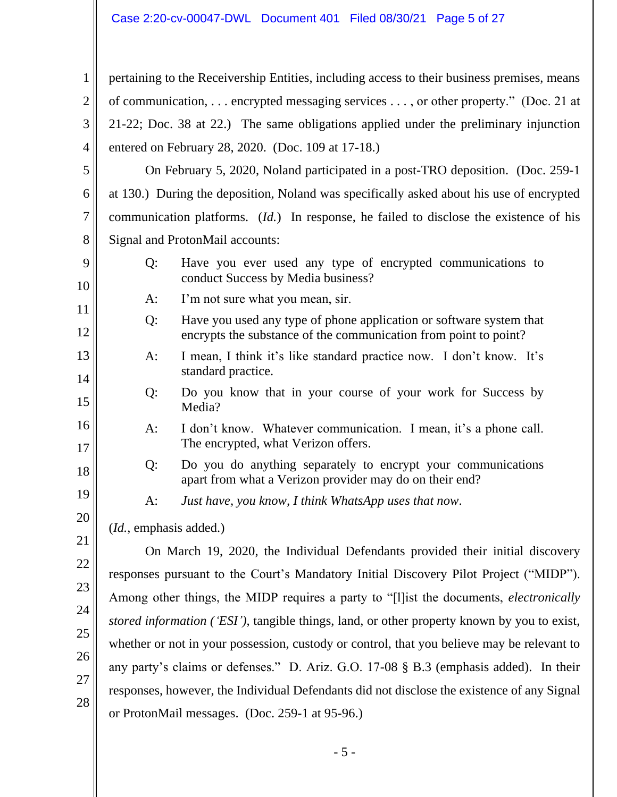### Case 2:20-cv-00047-DWL Document 401 Filed 08/30/21 Page 5 of 27

 of communication, . . . encrypted messaging services . . . , or other property." (Doc. 21 at 21-22; Doc. 38 at 22.) The same obligations applied under the preliminary injunction pertaining to the Receivership Entities, including access to their business premises, means entered on February 28, 2020. (Doc. 109 at 17-18.)

 On February 5, 2020, Noland participated in a post-TRO deposition. (Doc. 259-1 5 6 7 8 at 130.) During the deposition, Noland was specifically asked about his use of encrypted communication platforms. (*Id.*) In response, he failed to disclose the existence of his Signal and ProtonMail accounts:

- Q: Have you ever used any type of encrypted communications to conduct Success by Media business? A: I'm not sure what you mean, sir.
- Q: Have you used any type of phone application or software system that encrypts the substance of the communication from point to point?
- A: I mean, I think it's like standard practice now. I don't know. It's standard practice.
	- Q: Do you know that in your course of your work for Success by Media?
	- A: I don't know. Whatever communication. I mean, it's a phone call. The encrypted, what Verizon offers.
		- Q: Do you do anything separately to encrypt your communications apart from what a Verizon provider may do on their end?
	- A: *Just have, you know, I think WhatsApp uses that now*. (*Id.*, emphasis added.)

1

2

3

4

9

10

11

12

13

14

15

16

17

18

19

20

21

22

23

24

25

26

27

28

 whether or not in your possession, custody or control, that you believe may be relevant to any party's claims or defenses." D. Ariz. G.O. 17-08 § B.3 (emphasis added). In their On March 19, 2020, the Individual Defendants provided their initial discovery responses pursuant to the Court's Mandatory Initial Discovery Pilot Project ("MIDP"). Among other things, the MIDP requires a party to "[l]ist the documents, *electronically stored information ('ESI')*, tangible things, land, or other property known by you to exist, responses, however, the Individual Defendants did not disclose the existence of any Signal or ProtonMail messages. (Doc. 259-1 at 95-96.)

- 5 -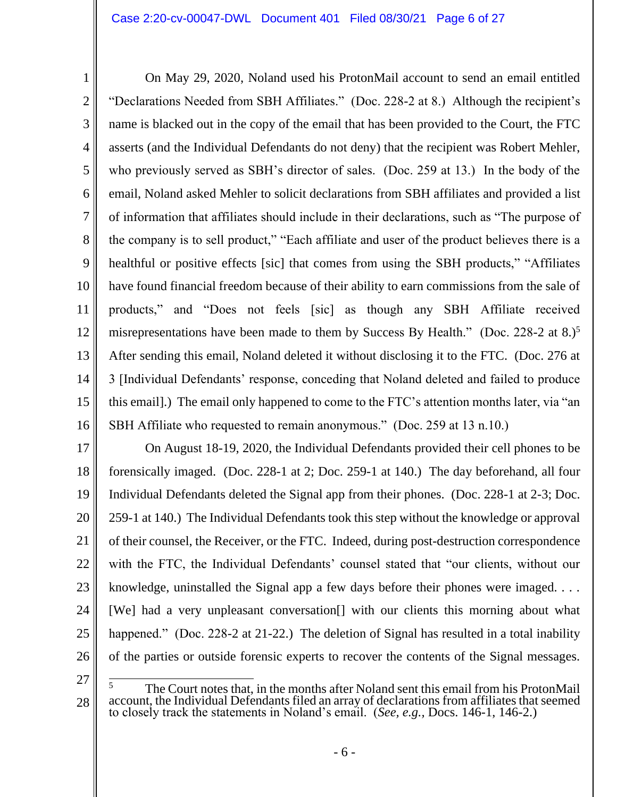name is blacked out in the copy of the email that has been provided to the Court, the FTC who previously served as SBH's director of sales. (Doc. 259 at 13.) In the body of the have found financial freedom because of their ability to earn commissions from the sale of misrepresentations have been made to them by Success By Health." (Doc. 228-2 at 8.)<sup>5</sup> 1 2 3 4 5 6 7 8 9 10 11 12 13 14 15 16 On May 29, 2020, Noland used his ProtonMail account to send an email entitled "Declarations Needed from SBH Affiliates." (Doc. 228-2 at 8.) Although the recipient's asserts (and the Individual Defendants do not deny) that the recipient was Robert Mehler, email, Noland asked Mehler to solicit declarations from SBH affiliates and provided a list of information that affiliates should include in their declarations, such as "The purpose of the company is to sell product," "Each affiliate and user of the product believes there is a healthful or positive effects [sic] that comes from using the SBH products," "Affiliates products," and "Does not feels [sic] as though any SBH Affiliate received After sending this email, Noland deleted it without disclosing it to the FTC. (Doc. 276 at 3 [Individual Defendants' response, conceding that Noland deleted and failed to produce this email].) The email only happened to come to the FTC's attention months later, via "an SBH Affiliate who requested to remain anonymous." (Doc. 259 at 13 n.10.)

 forensically imaged. (Doc. 228-1 at 2; Doc. 259-1 at 140.) The day beforehand, all four knowledge, uninstalled the Signal app a few days before their phones were imaged. . . . of the parties or outside forensic experts to recover the contents of the Signal messages.<br>
The Court notes that, in the months after Noland sent this email from his ProtonMail 17 18 19 20 21 22 23 24 25 26 On August 18-19, 2020, the Individual Defendants provided their cell phones to be Individual Defendants deleted the Signal app from their phones. (Doc. 228-1 at 2-3; Doc. 259-1 at 140.) The Individual Defendants took this step without the knowledge or approval of their counsel, the Receiver, or the FTC. Indeed, during post-destruction correspondence with the FTC, the Individual Defendants' counsel stated that "our clients, without our [We] had a very unpleasant conversation[] with our clients this morning about what happened." (Doc. 228-2 at 21-22.) The deletion of Signal has resulted in a total inability

<sup>27</sup>

The Court notes that, in the months after Noland sent this email from his ProtonMail 28 account, the Individual Defendants filed an array of declarations from affiliates that seemed to closely track the statements in Noland's email. (*See, e.g.,* Docs. 146-1, 146-2.) 5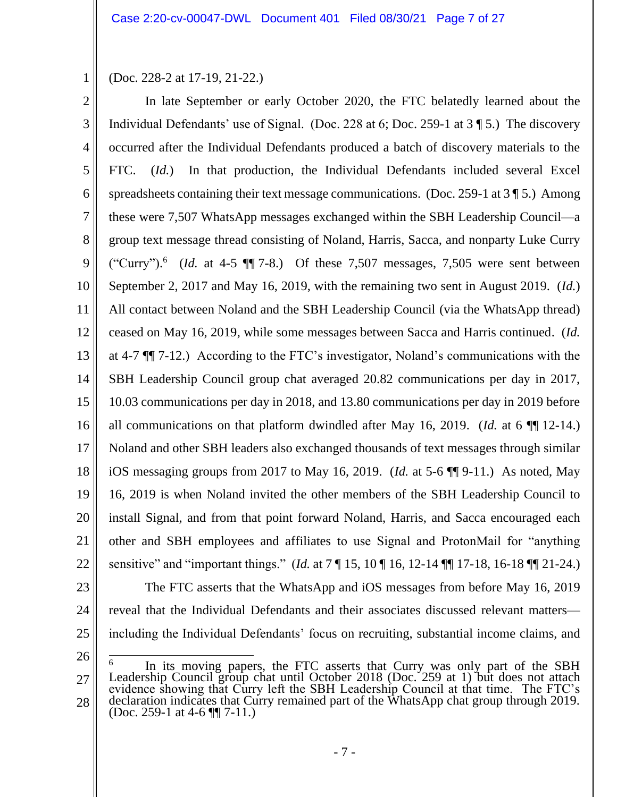(Doc. 228-2 at 17-19, 21-22.)

1

 In late September or early October 2020, the FTC belatedly learned about the Individual Defendants' use of Signal. (Doc. 228 at 6; Doc. 259-1 at 3 ¶ 5.) The discovery FTC.  $(Id.)$ spreadsheets containing their text message communications. (Doc. 259-1 at  $3 \sqrt{\frac{5}{1}}$ ) Among group text message thread consisting of Noland, Harris, Sacca, and nonparty Luke Curry ("Curry").<sup>6</sup> (*Id.* at 4-5  $\P$  $\overline{\phantom{a}}$  7-8.) Of these 7,507 messages, 7,505 were sent between September 2, 2017 and May 16, 2019, with the remaining two sent in August 2019. (*Id.*) ceased on May 16, 2019, while some messages between Sacca and Harris continued. (*Id.*  at 4-7 ¶¶ 7-12.) According to the FTC's investigator, Noland's communications with the 10.03 communications per day in 2018, and 13.80 communications per day in 2019 before all communications on that platform dwindled after May 16, 2019. (*Id.* at 6 ¶¶ 12-14.) Noland and other SBH leaders also exchanged thousands of text messages through similar install Signal, and from that point forward Noland, Harris, and Sacca encouraged each sensitive" and "important things." (*Id.* at 7 ¶ 15, 10 ¶ 16, 12-14 ¶¶ 17-18, 16-18 ¶¶ 21-24.) including the Individual Defendants' focus on recruiting, substantial income claims, and 2 3 4 5 6 7 8 9 10 11 12 13 14 15 16 17 18 19 20 21 22 23 24 25 occurred after the Individual Defendants produced a batch of discovery materials to the In that production, the Individual Defendants included several Excel these were 7,507 WhatsApp messages exchanged within the SBH Leadership Council—a All contact between Noland and the SBH Leadership Council (via the WhatsApp thread) SBH Leadership Council group chat averaged 20.82 communications per day in 2017, iOS messaging groups from 2017 to May 16, 2019. (*Id.* at 5-6 ¶¶ 9-11.) As noted, May 16, 2019 is when Noland invited the other members of the SBH Leadership Council to other and SBH employees and affiliates to use Signal and ProtonMail for "anything The FTC asserts that the WhatsApp and iOS messages from before May 16, 2019 reveal that the Individual Defendants and their associates discussed relevant matters—

<sup>26</sup> 27 28 <sup>6</sup> In its moving papers, the FTC asserts that Curry was only part of the SBH Leadership Council group chat until October 2018 (Doc. 259 at 1) but does not attach evidence showing that Curry left the SBH Leadership Council at that time. The FTC's declaration indicates that Curry remained part of the WhatsApp chat group through 2019. (Doc. 259-1 at 4-6  $\P$ ] 7-11.) 6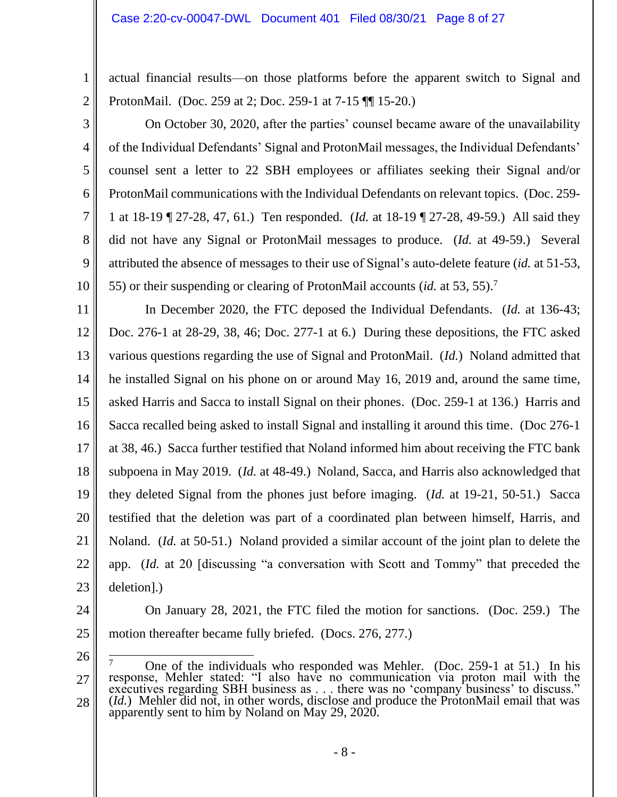actual financial results—on those platforms before the apparent switch to Signal and ProtonMail. (Doc. 259 at 2; Doc. 259-1 at 7-15 ¶¶ 15-20.)

 55) or their suspending or clearing of ProtonMail accounts (*id.* at 53, 55). 7 4 5 6 7 8 9 10 On October 30, 2020, after the parties' counsel became aware of the unavailability of the Individual Defendants' Signal and ProtonMail messages, the Individual Defendants' counsel sent a letter to 22 SBH employees or affiliates seeking their Signal and/or ProtonMail communications with the Individual Defendants on relevant topics. (Doc. 259- 1 at 18-19 ¶ 27-28, 47, 61.) Ten responded. (*Id.* at 18-19 ¶ 27-28, 49-59.) All said they did not have any Signal or ProtonMail messages to produce. (*Id.* at 49-59.) Several attributed the absence of messages to their use of Signal's auto-delete feature (*id.* at 51-53,

 Doc. 276-1 at 28-29, 38, 46; Doc. 277-1 at 6.) During these depositions, the FTC asked various questions regarding the use of Signal and ProtonMail. (*Id.*) Noland admitted that asked Harris and Sacca to install Signal on their phones. (Doc. 259-1 at 136.) Harris and Sacca recalled being asked to install Signal and installing it around this time. (Doc 276-1 they deleted Signal from the phones just before imaging. (*Id.* at 19-21, 50-51.) Sacca Noland. (*Id.* at 50-51.) Noland provided a similar account of the joint plan to delete the 11 12 13 14 15 16 17 18 19 20 21 22 23 In December 2020, the FTC deposed the Individual Defendants. (*Id.* at 136-43; he installed Signal on his phone on or around May 16, 2019 and, around the same time, at 38, 46.) Sacca further testified that Noland informed him about receiving the FTC bank subpoena in May 2019. (*Id.* at 48-49.) Noland, Sacca, and Harris also acknowledged that testified that the deletion was part of a coordinated plan between himself, Harris, and app. (*Id.* at 20 [discussing "a conversation with Scott and Tommy" that preceded the deletion].)

24

1

2

3

 On January 28, 2021, the FTC filed the motion for sanctions. (Doc. 259.) The 25 motion thereafter became fully briefed. (Docs. 276, 277.)

<sup>26</sup>

<sup>27</sup> 28 One of the individuals who responded was Mehler. (Doc. 259-1 at 51.) In his response, Mehler stated: "I also have no communication via proton mail with the executives regarding SBH business as . . . there was no 'company business' to discuss."<br>(*Id*.) Mehler did not, in other words, disclose and produce the ProtonMail email that was apparently sent to him by Noland on May 29, 7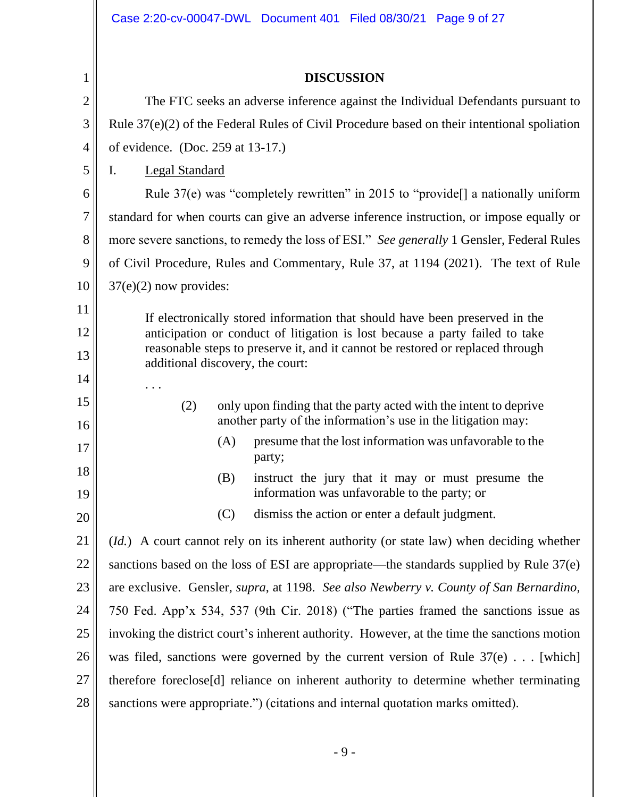|                | Case 2:20-cv-00047-DWL Document 401 Filed 08/30/21 Page 9 of 27                                                                                                                                                                                                                   |  |  |
|----------------|-----------------------------------------------------------------------------------------------------------------------------------------------------------------------------------------------------------------------------------------------------------------------------------|--|--|
| 1              | <b>DISCUSSION</b>                                                                                                                                                                                                                                                                 |  |  |
| $\overline{2}$ | The FTC seeks an adverse inference against the Individual Defendants pursuant to                                                                                                                                                                                                  |  |  |
| 3              | Rule $37(e)(2)$ of the Federal Rules of Civil Procedure based on their intentional spoliation                                                                                                                                                                                     |  |  |
| $\overline{4}$ | of evidence. (Doc. 259 at 13-17.)                                                                                                                                                                                                                                                 |  |  |
| 5              | <b>Legal Standard</b><br>$\mathbf{I}$ .                                                                                                                                                                                                                                           |  |  |
| 6              | Rule $37(e)$ was "completely rewritten" in 2015 to "provide[] a nationally uniform                                                                                                                                                                                                |  |  |
| $\overline{7}$ | standard for when courts can give an adverse inference instruction, or impose equally or                                                                                                                                                                                          |  |  |
| 8              | more severe sanctions, to remedy the loss of ESI." See generally 1 Gensler, Federal Rules                                                                                                                                                                                         |  |  |
| 9              | of Civil Procedure, Rules and Commentary, Rule 37, at 1194 (2021). The text of Rule                                                                                                                                                                                               |  |  |
| 10             | $37(e)(2)$ now provides:                                                                                                                                                                                                                                                          |  |  |
| 11             | If electronically stored information that should have been preserved in the<br>anticipation or conduct of litigation is lost because a party failed to take<br>reasonable steps to preserve it, and it cannot be restored or replaced through<br>additional discovery, the court: |  |  |
| 12             |                                                                                                                                                                                                                                                                                   |  |  |
| 13             |                                                                                                                                                                                                                                                                                   |  |  |
| 14             |                                                                                                                                                                                                                                                                                   |  |  |
| 15<br>16       | only upon finding that the party acted with the intent to deprive<br>(2)<br>another party of the information's use in the litigation may:                                                                                                                                         |  |  |
| 17             | (A)<br>presume that the lost information was unfavorable to the<br>party;                                                                                                                                                                                                         |  |  |
| 18<br>19       | instruct the jury that it may or must presume the<br>(B)<br>information was unfavorable to the party; or                                                                                                                                                                          |  |  |
| 20             | (C)<br>dismiss the action or enter a default judgment.                                                                                                                                                                                                                            |  |  |
| 21             | ( <i>Id.</i> ) A court cannot rely on its inherent authority (or state law) when deciding whether                                                                                                                                                                                 |  |  |
| 22             | sanctions based on the loss of ESI are appropriate—the standards supplied by Rule 37(e)                                                                                                                                                                                           |  |  |
| 23             | are exclusive. Gensler, <i>supra</i> , at 1198. See also Newberry v. County of San Bernardino,                                                                                                                                                                                    |  |  |
| 24             | 750 Fed. App'x 534, 537 (9th Cir. 2018) ("The parties framed the sanctions issue as                                                                                                                                                                                               |  |  |
| 25             | invoking the district court's inherent authority. However, at the time the sanctions motion                                                                                                                                                                                       |  |  |
| 26             | was filed, sanctions were governed by the current version of Rule $37(e)$ [which]                                                                                                                                                                                                 |  |  |
| 27             | therefore foreclose[d] reliance on inherent authority to determine whether terminating                                                                                                                                                                                            |  |  |
| 28             | sanctions were appropriate.") (citations and internal quotation marks omitted).                                                                                                                                                                                                   |  |  |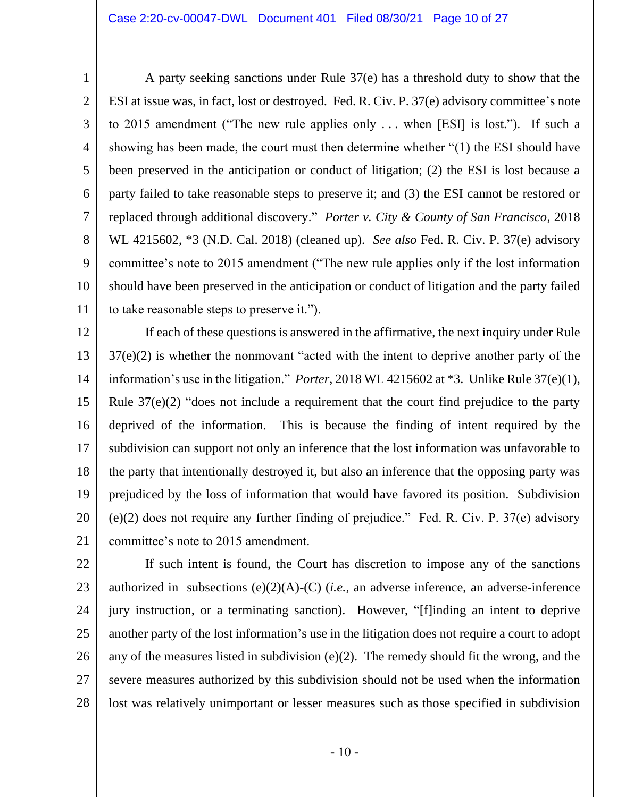1

2

3

5

8

9

10

11

 ESI at issue was, in fact, lost or destroyed. Fed. R. Civ. P. 37(e) advisory committee's note showing has been made, the court must then determine whether "(1) the ESI should have been preserved in the anticipation or conduct of litigation; (2) the ESI is lost because a party failed to take reasonable steps to preserve it; and (3) the ESI cannot be restored or replaced through additional discovery." *Porter v. City & County of San Francisco*, 2018 4 6 7 A party seeking sanctions under Rule 37(e) has a threshold duty to show that the to 2015 amendment ("The new rule applies only . . . when [ESI] is lost."). If such a WL 4215602, \*3 (N.D. Cal. 2018) (cleaned up). *See also* Fed. R. Civ. P. 37(e) advisory committee's note to 2015 amendment ("The new rule applies only if the lost information should have been preserved in the anticipation or conduct of litigation and the party failed to take reasonable steps to preserve it.").

 information's use in the litigation." *Porter*, 2018 WL 4215602 at \*3. Unlike Rule 37(e)(1), the party that intentionally destroyed it, but also an inference that the opposing party was prejudiced by the loss of information that would have favored its position. Subdivision (e)(2) does not require any further finding of prejudice." Fed. R. Civ. P. 37(e) advisory 12 13 14 15 16 17 18 19 20 21 If each of these questions is answered in the affirmative, the next inquiry under Rule 37(e)(2) is whether the nonmovant "acted with the intent to deprive another party of the Rule 37(e)(2) "does not include a requirement that the court find prejudice to the party deprived of the information. This is because the finding of intent required by the subdivision can support not only an inference that the lost information was unfavorable to committee's note to 2015 amendment.

 jury instruction, or a terminating sanction). However, "[f]inding an intent to deprive another party of the lost information's use in the litigation does not require a court to adopt any of the measures listed in subdivision (e)(2). The remedy should fit the wrong, and the 22 23 24 25 26 27 28 If such intent is found, the Court has discretion to impose any of the sanctions authorized in subsections (e)(2)(A)-(C) (*i.e.,* an adverse inference, an adverse-inference severe measures authorized by this subdivision should not be used when the information lost was relatively unimportant or lesser measures such as those specified in subdivision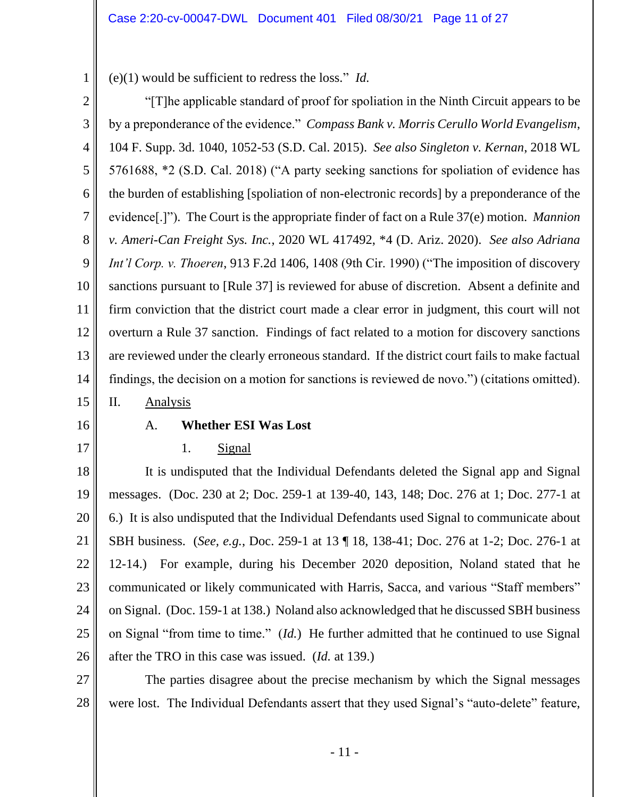(e)(1) would be sufficient to redress the loss." *Id.*  1

 by a preponderance of the evidence." *Compass Bank v. Morris Cerullo World Evangelism*, 104 F. Supp. 3d. 1040, 1052-53 (S.D. Cal. 2015). *See also Singleton v. Kernan*, 2018 WL 5761688, \*2 (S.D. Cal. 2018) ("A party seeking sanctions for spoliation of evidence has sanctions pursuant to [Rule 37] is reviewed for abuse of discretion. Absent a definite and overturn a Rule 37 sanction. Findings of fact related to a motion for discovery sanctions are reviewed under the clearly erroneous standard. If the district court fails to make factual 2 3 4 5 6 7 8 9 10 11 12 13 14 15 "[T]he applicable standard of proof for spoliation in the Ninth Circuit appears to be the burden of establishing [spoliation of non-electronic records] by a preponderance of the evidence[.]"). The Court is the appropriate finder of fact on a Rule 37(e) motion. *Mannion v. Ameri-Can Freight Sys. Inc.*, 2020 WL 417492, \*4 (D. Ariz. 2020). *See also Adriana Int'l Corp. v. Thoeren*, 913 F.2d 1406, 1408 (9th Cir. 1990) ("The imposition of discovery firm conviction that the district court made a clear error in judgment, this court will not findings, the decision on a motion for sanctions is reviewed de novo.") (citations omitted). II. Analysis

16

17

# A. **Whether ESI Was Lost**

1. Signal

 12-14.) For example, during his December 2020 deposition, Noland stated that he 18 19 20 21 22 23 24 25 26 It is undisputed that the Individual Defendants deleted the Signal app and Signal messages. (Doc. 230 at 2; Doc. 259-1 at 139-40, 143, 148; Doc. 276 at 1; Doc. 277-1 at 6.) It is also undisputed that the Individual Defendants used Signal to communicate about SBH business. (*See, e.g.*, Doc. 259-1 at 13 ¶ 18, 138-41; Doc. 276 at 1-2; Doc. 276-1 at communicated or likely communicated with Harris, Sacca, and various "Staff members" on Signal. (Doc. 159-1 at 138.) Noland also acknowledged that he discussed SBH business on Signal "from time to time." (*Id.*) He further admitted that he continued to use Signal after the TRO in this case was issued. (*Id.* at 139.)

27 28 The parties disagree about the precise mechanism by which the Signal messages were lost. The Individual Defendants assert that they used Signal's "auto-delete" feature,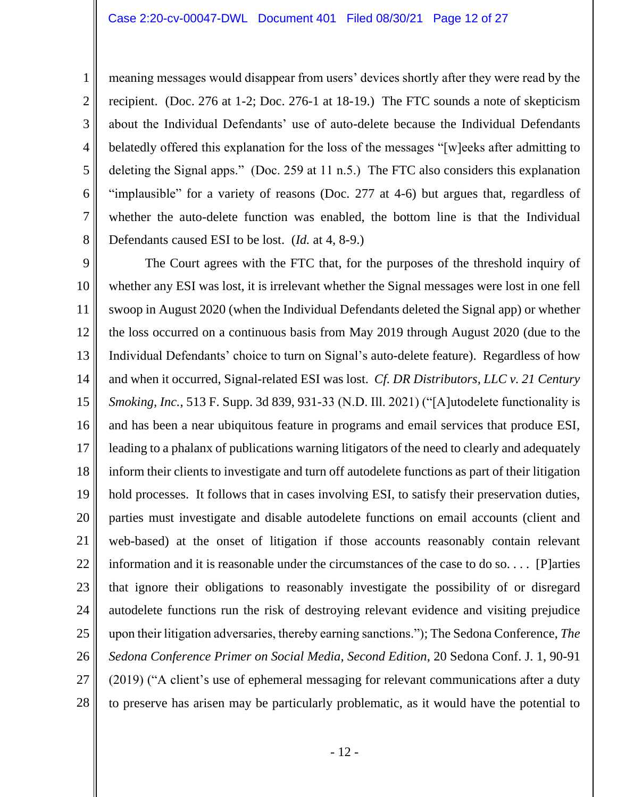1

2

3

4

5

6

7

8

 belatedly offered this explanation for the loss of the messages "[w]eeks after admitting to whether the auto-delete function was enabled, the bottom line is that the Individual meaning messages would disappear from users' devices shortly after they were read by the recipient. (Doc. 276 at 1-2; Doc. 276-1 at 18-19.) The FTC sounds a note of skepticism about the Individual Defendants' use of auto-delete because the Individual Defendants deleting the Signal apps." (Doc. 259 at 11 n.5.) The FTC also considers this explanation "implausible" for a variety of reasons (Doc. 277 at 4-6) but argues that, regardless of Defendants caused ESI to be lost. (*Id.* at 4, 8-9.)

 the loss occurred on a continuous basis from May 2019 through August 2020 (due to the and when it occurred, Signal-related ESI was lost. *Cf. DR Distributors, LLC v. 21 Century*  leading to a phalanx of publications warning litigators of the need to clearly and adequately inform their clients to investigate and turn off autodelete functions as part of their litigation hold processes. It follows that in cases involving ESI, to satisfy their preservation duties, information and it is reasonable under the circumstances of the case to do so. . . . [P]arties 9 10 11 12 13 14 15 16 17 18 19 20 21 22 23 24 25 26 27 28 The Court agrees with the FTC that, for the purposes of the threshold inquiry of whether any ESI was lost, it is irrelevant whether the Signal messages were lost in one fell swoop in August 2020 (when the Individual Defendants deleted the Signal app) or whether Individual Defendants' choice to turn on Signal's auto-delete feature). Regardless of how *Smoking, Inc.*, 513 F. Supp. 3d 839, 931-33 (N.D. Ill. 2021) ("[A]utodelete functionality is and has been a near ubiquitous feature in programs and email services that produce ESI, parties must investigate and disable autodelete functions on email accounts (client and web-based) at the onset of litigation if those accounts reasonably contain relevant that ignore their obligations to reasonably investigate the possibility of or disregard autodelete functions run the risk of destroying relevant evidence and visiting prejudice upon their litigation adversaries, thereby earning sanctions."); The Sedona Conference, *The Sedona Conference Primer on Social Media, Second Edition*, 20 Sedona Conf. J. 1, 90-91 (2019) ("A client's use of ephemeral messaging for relevant communications after a duty to preserve has arisen may be particularly problematic, as it would have the potential to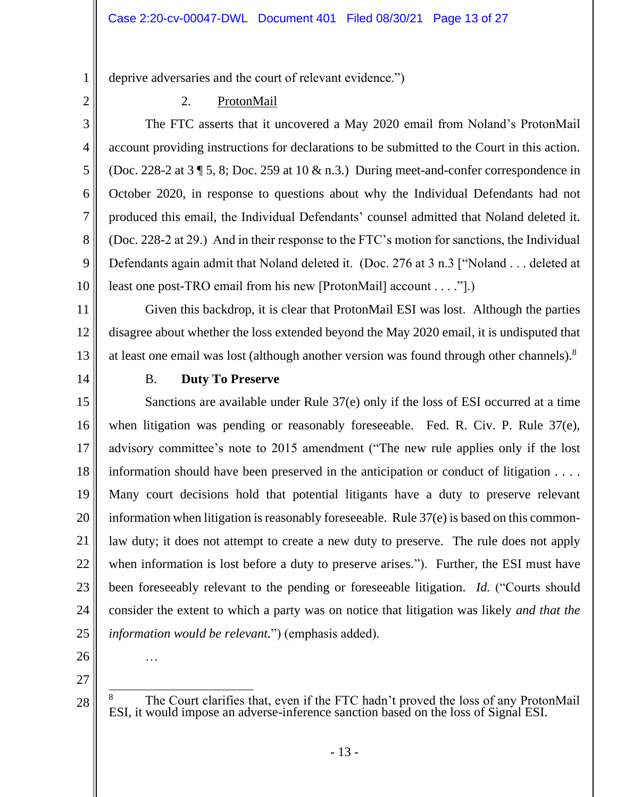deprive adversaries and the court of relevant evidence.")

2 3

4

5

6

7

8

9

10

1

### 2. ProtonMail

account providing instructions for declarations to be submitted to the Court in this action. October 2020, in response to questions about why the Individual Defendants had not (Doc. 228-2 at 29.) And in their response to the FTC's motion for sanctions, the Individual The FTC asserts that it uncovered a May 2020 email from Noland's ProtonMail (Doc. 228-2 at 3 ¶ 5, 8; Doc. 259 at 10  $\&$  n.3.) During meet-and-confer correspondence in produced this email, the Individual Defendants' counsel admitted that Noland deleted it. Defendants again admit that Noland deleted it. (Doc. 276 at 3 n.3 ["Noland . . . deleted at least one post-TRO email from his new [ProtonMail] account . . . ."].)

 disagree about whether the loss extended beyond the May 2020 email, it is undisputed that at least one email was lost (although another version was found through other channels). 8 11 12 13 Given this backdrop, it is clear that ProtonMail ESI was lost. Although the parties

14

### B. **Duty To Preserve**

 when litigation was pending or reasonably foreseeable. Fed. R. Civ. P. Rule 37(e), information should have been preserved in the anticipation or conduct of litigation . . . . when information is lost before a duty to preserve arises."). Further, the ESI must have 15 16 17 18 19 20 21 22 23 24 25 Sanctions are available under Rule 37(e) only if the loss of ESI occurred at a time advisory committee's note to 2015 amendment ("The new rule applies only if the lost Many court decisions hold that potential litigants have a duty to preserve relevant information when litigation is reasonably foreseeable. Rule 37(e) is based on this commonlaw duty; it does not attempt to create a new duty to preserve. The rule does not apply been foreseeably relevant to the pending or foreseeable litigation. *Id.* ("Courts should consider the extent to which a party was on notice that litigation was likely *and that the information would be relevant.*") (emphasis added).

26

…

27

<sup>&</sup>lt;sup>8</sup> The Court clarifies that, even if the FTC hadn't proved the loss of any ProtonMail ESI, it would impose an adverse-inference sanction based on the loss of Signal ESI.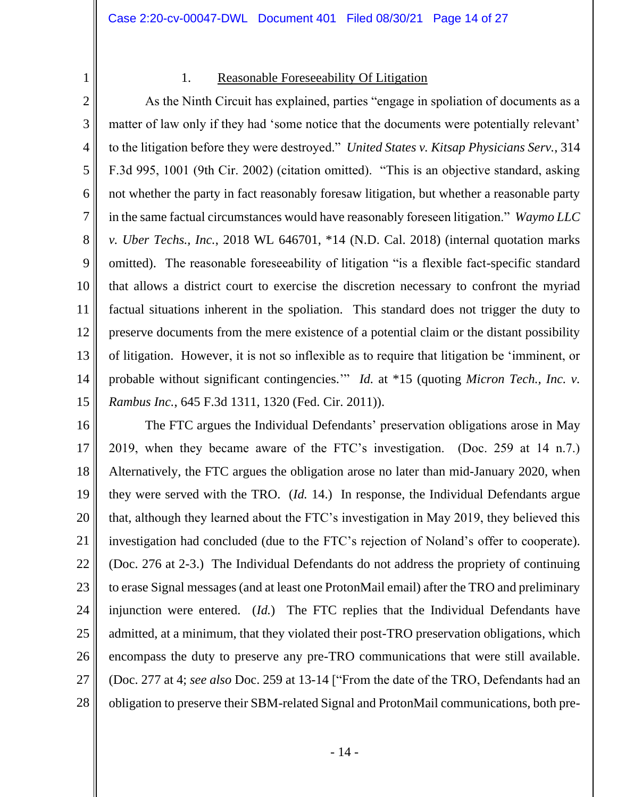2

1

### 1. Reasonable Foreseeability Of Litigation

 matter of law only if they had 'some notice that the documents were potentially relevant' in the same factual circumstances would have reasonably foreseen litigation." *Waymo LLC v. Uber Techs., Inc.*, 2018 WL 646701, \*14 (N.D. Cal. 2018) (internal quotation marks omitted). The reasonable foreseeability of litigation "is a flexible fact-specific standard preserve documents from the mere existence of a potential claim or the distant possibility probable without significant contingencies.'" *Id.* at \*15 (quoting *Micron Tech., Inc. v.*  3 4 5 6 7 8 9 10 11 12 13 14 15 As the Ninth Circuit has explained, parties "engage in spoliation of documents as a to the litigation before they were destroyed." *United States v. Kitsap Physicians Serv.*, 314 F.3d 995, 1001 (9th Cir. 2002) (citation omitted). "This is an objective standard, asking not whether the party in fact reasonably foresaw litigation, but whether a reasonable party that allows a district court to exercise the discretion necessary to confront the myriad factual situations inherent in the spoliation. This standard does not trigger the duty to of litigation. However, it is not so inflexible as to require that litigation be 'imminent, or *Rambus Inc.*, 645 F.3d 1311, 1320 (Fed. Cir. 2011)).

 The FTC argues the Individual Defendants' preservation obligations arose in May investigation had concluded (due to the FTC's rejection of Noland's offer to cooperate). investigation had concluded (due to the FTC's rejection of Noland's offer to cooperate). (Doc. 276 at 2-3.) The Individual Defendants do not address the propriety of continuing to erase Signal messages (and at least one ProtonMail email) after the TRO and preliminary admitted, at a minimum, that they violated their post-TRO preservation obligations, which encompass the duty to preserve any pre-TRO communications that were still available. obligation to preserve their SBM-related Signal and ProtonMail communications, both pre- 16 17 18 19 20 21 22 23 24 25 26 27 28 2019, when they became aware of the FTC's investigation. (Doc. 259 at 14 n.7.) Alternatively, the FTC argues the obligation arose no later than mid-January 2020, when they were served with the TRO. (*Id.* 14.) In response, the Individual Defendants argue that, although they learned about the FTC's investigation in May 2019, they believed this injunction were entered. (*Id.*) The FTC replies that the Individual Defendants have (Doc. 277 at 4; *see also* Doc. 259 at 13-14 ["From the date of the TRO, Defendants had an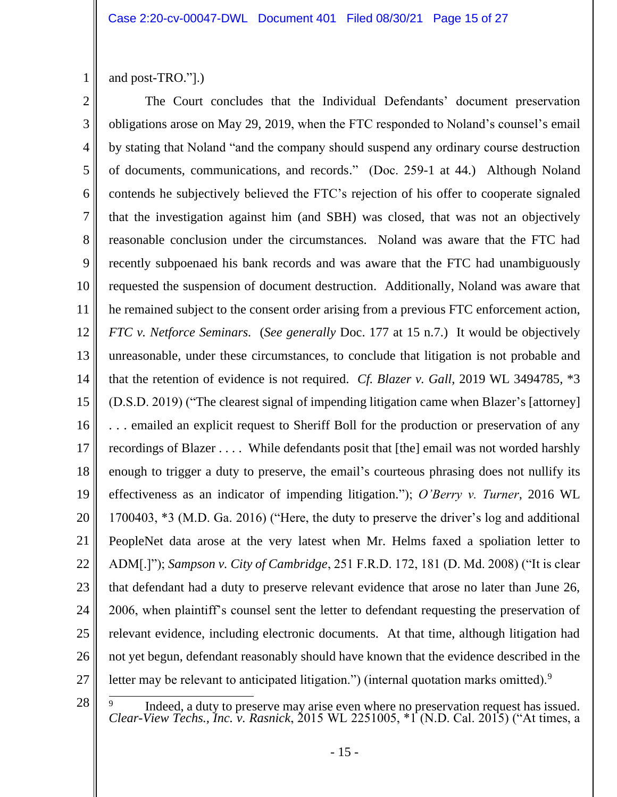1 and post-TRO."].)

28

 of documents, communications, and records." (Doc. 259-1 at 44.) Although Noland recently subpoenaed his bank records and was aware that the FTC had unambiguously *FTC v. Netforce Seminars.* (*See generally* Doc. 177 at 15 n.7.) It would be objectively effectiveness as an indicator of impending litigation."); *O'Berry v. Turner*, 2016 WL that defendant had a duty to preserve relevant evidence that arose no later than June 26, relevant evidence, including electronic documents. At that time, although litigation had letter may be relevant to anticipated litigation.") (internal quotation marks omitted). $9$ 2 3 4 5 6 7 8 9 10 11 12 13 14 15 16 17 18 19 20 21 22 23 24 25 26 27 The Court concludes that the Individual Defendants' document preservation obligations arose on May 29, 2019, when the FTC responded to Noland's counsel's email by stating that Noland "and the company should suspend any ordinary course destruction contends he subjectively believed the FTC's rejection of his offer to cooperate signaled that the investigation against him (and SBH) was closed, that was not an objectively reasonable conclusion under the circumstances. Noland was aware that the FTC had requested the suspension of document destruction. Additionally, Noland was aware that he remained subject to the consent order arising from a previous FTC enforcement action, unreasonable, under these circumstances, to conclude that litigation is not probable and that the retention of evidence is not required. *Cf. Blazer v. Gall*, 2019 WL 3494785, \*3 (D.S.D. 2019) ("The clearest signal of impending litigation came when Blazer's [attorney] . . . emailed an explicit request to Sheriff Boll for the production or preservation of any recordings of Blazer . . . . While defendants posit that [the] email was not worded harshly enough to trigger a duty to preserve, the email's courteous phrasing does not nullify its 1700403, \*3 (M.D. Ga. 2016) ("Here, the duty to preserve the driver's log and additional PeopleNet data arose at the very latest when Mr. Helms faxed a spoliation letter to ADM[.]"); *Sampson v. City of Cambridge*, 251 F.R.D. 172, 181 (D. Md. 2008) ("It is clear 2006, when plaintiff's counsel sent the letter to defendant requesting the preservation of not yet begun, defendant reasonably should have known that the evidence described in the

<sup>&</sup>lt;sup>9</sup> Indeed, a duty to preserve may arise even where no preservation request has issued.<br>*Clear-View Techs., Inc. v. Rasnick*, 2015 WL 2251005, \*1 (N.D. Cal. 2015) ("At times, a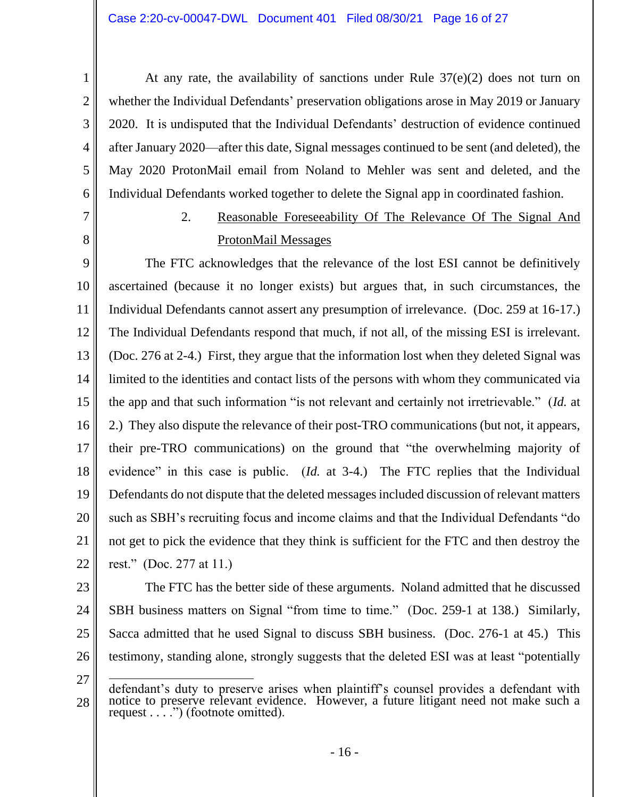2020. It is undisputed that the Individual Defendants' destruction of evidence continued May 2020 ProtonMail email from Noland to Mehler was sent and deleted, and the At any rate, the availability of sanctions under Rule 37(e)(2) does not turn on whether the Individual Defendants' preservation obligations arose in May 2019 or January after January 2020—after this date, Signal messages continued to be sent (and deleted), the Individual Defendants worked together to delete the Signal app in coordinated fashion.

# 7

8

1

2

3

4

5

6

# 2. Reasonable Foreseeability Of The Relevance Of The Signal And ProtonMail Messages

 ascertained (because it no longer exists) but argues that, in such circumstances, the Individual Defendants cannot assert any presumption of irrelevance. (Doc. 259 at 16-17.) The Individual Defendants respond that much, if not all, of the missing ESI is irrelevant. (Doc. 276 at 2-4.) First, they argue that the information lost when they deleted Signal was 2.) They also dispute the relevance of their post-TRO communications (but not, it appears, their pre-TRO communications) on the ground that "the overwhelming majority of evidence" in this case is public. (*Id.* at 3-4.) The FTC replies that the Individual not get to pick the evidence that they think is sufficient for the FTC and then destroy the rest." (Doc. 277 at 11.) 9 10 11 12 13 14 15 16 17 18 19 20 21 22 The FTC acknowledges that the relevance of the lost ESI cannot be definitively limited to the identities and contact lists of the persons with whom they communicated via the app and that such information "is not relevant and certainly not irretrievable." (*Id.* at Defendants do not dispute that the deleted messages included discussion of relevant matters such as SBH's recruiting focus and income claims and that the Individual Defendants "do

 Sacca admitted that he used Signal to discuss SBH business. (Doc. 276-1 at 45.) This 23 24 25 26 The FTC has the better side of these arguments. Noland admitted that he discussed SBH business matters on Signal "from time to time." (Doc. 259-1 at 138.) Similarly, testimony, standing alone, strongly suggests that the deleted ESI was at least "potentially

<sup>28</sup> defendant's duty to preserve arises when plaintiff's counsel provides a defendant with notice to preserve relevant evidence. However, a future litigant need not make such a request . . . .") (footnote omitted).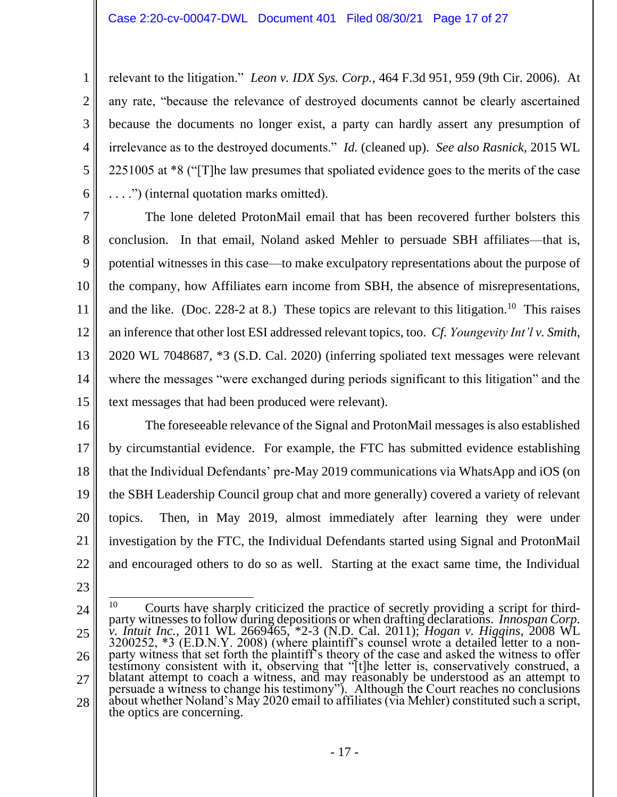relevant to the litigation." *Leon v. IDX Sys. Corp.*, 464 F.3d 951, 959 (9th Cir. 2006). At . . . .") (internal quotation marks omitted). any rate, "because the relevance of destroyed documents cannot be clearly ascertained because the documents no longer exist, a party can hardly assert any presumption of irrelevance as to the destroyed documents." *Id.* (cleaned up). *See also Rasnick*, 2015 WL 2251005 at \*8 ("[T]he law presumes that spoliated evidence goes to the merits of the case

 potential witnesses in this case—to make exculpatory representations about the purpose of and the like. (Doc. 228-2 at 8.) These topics are relevant to this litigation.<sup>10</sup> This raises an inference that other lost ESI addressed relevant topics, too. *Cf. Youngevity Int'l v. Smith*, 7 8 9 10 11 12 13 14 15 The lone deleted ProtonMail email that has been recovered further bolsters this conclusion. In that email, Noland asked Mehler to persuade SBH affiliates—that is, the company, how Affiliates earn income from SBH, the absence of misrepresentations, 2020 WL 7048687, \*3 (S.D. Cal. 2020) (inferring spoliated text messages were relevant where the messages "were exchanged during periods significant to this litigation" and the text messages that had been produced were relevant).

16

1

2

3

4

5

6

 The foreseeable relevance of the Signal and ProtonMail messages is also established topics. Then, in May 2019, almost immediately after learning they were under and encouraged others to do so as well. Starting at the exact same time, the Individual 17 18 19 20 21 22 by circumstantial evidence. For example, the FTC has submitted evidence establishing that the Individual Defendants' pre-May 2019 communications via WhatsApp and iOS (on the SBH Leadership Council group chat and more generally) covered a variety of relevant investigation by the FTC, the Individual Defendants started using Signal and ProtonMail

- 23
- 24

<sup>25</sup> 26 27 28 Courts have sharply criticized the practice of secretly providing a script for third- party witnesses to follow during depositions or when drafting declarations. *Innospan Corp. v. Intuit Inc.*, 2011 WL 2669465, \*2-3 (N.D. Cal. 2011); *Hogan v. Higgins*, 2008 WL 3200252, \*3 (E.D.N.Y. 2008) (where plaintiff's counsel wrote a detailed letter to a non- party witness that set forth the plaintiff's theory of the case and asked the witness to offer testimony consistent with it, observing that "[t]he letter is, conservatively construed, a blatant attempt to coach a witness, and may reasonably be understood as an attempt to persuade a witness to change his testimony"). Although the Court reaches no conclusions about whether Noland's May 2020 email to affiliates (via Mehler) constituted such a script, the optics are concerning. 10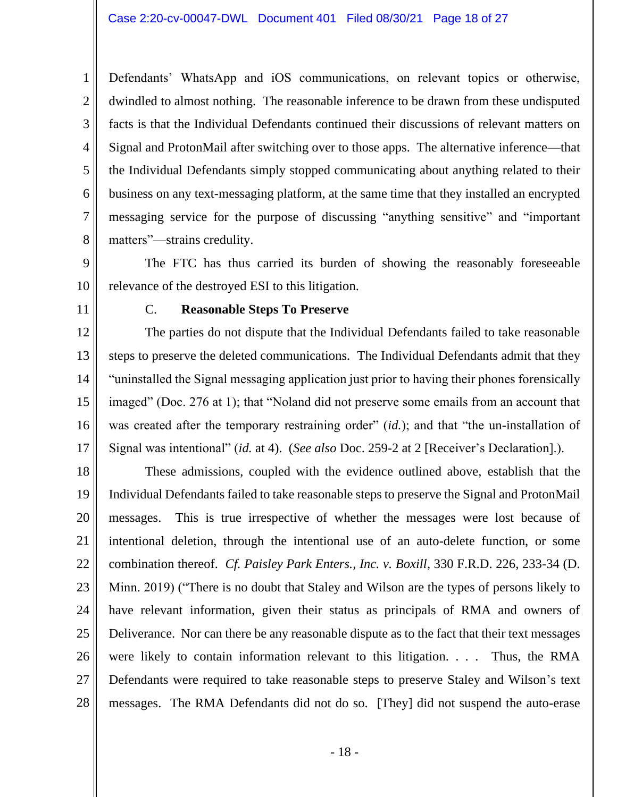dwindled to almost nothing. The reasonable inference to be drawn from these undisputed business on any text-messaging platform, at the same time that they installed an encrypted messaging service for the purpose of discussing "anything sensitive" and "important Defendants' WhatsApp and iOS communications, on relevant topics or otherwise, facts is that the Individual Defendants continued their discussions of relevant matters on Signal and ProtonMail after switching over to those apps. The alternative inference—that the Individual Defendants simply stopped communicating about anything related to their matters"—strains credulity.

 The FTC has thus carried its burden of showing the reasonably foreseeable 9 10 relevance of the destroyed ESI to this litigation.

11

1

2

3

4

5

6

7

8

### C. **Reasonable Steps To Preserve**

 The parties do not dispute that the Individual Defendants failed to take reasonable steps to preserve the deleted communications. The Individual Defendants admit that they was created after the temporary restraining order" (*id.*); and that "the un-installation of 12 13 14 15 16 17 "uninstalled the Signal messaging application just prior to having their phones forensically imaged" (Doc. 276 at 1); that "Noland did not preserve some emails from an account that Signal was intentional" (*id.* at 4). (*See also* Doc. 259-2 at 2 [Receiver's Declaration].).

messages. Minn. 2019) ("There is no doubt that Staley and Wilson are the types of persons likely to were likely to contain information relevant to this litigation. . . . Thus, the RMA Defendants were required to take reasonable steps to preserve Staley and Wilson's text messages. The RMA Defendants did not do so. [They] did not suspend the auto-erase 18 19 20 21 22 23 24 25 26 27 28 These admissions, coupled with the evidence outlined above, establish that the Individual Defendants failed to take reasonable steps to preserve the Signal and ProtonMail This is true irrespective of whether the messages were lost because of intentional deletion, through the intentional use of an auto-delete function, or some combination thereof. *Cf. Paisley Park Enters., Inc. v. Boxill*, 330 F.R.D. 226, 233-34 (D. have relevant information, given their status as principals of RMA and owners of Deliverance. Nor can there be any reasonable dispute as to the fact that their text messages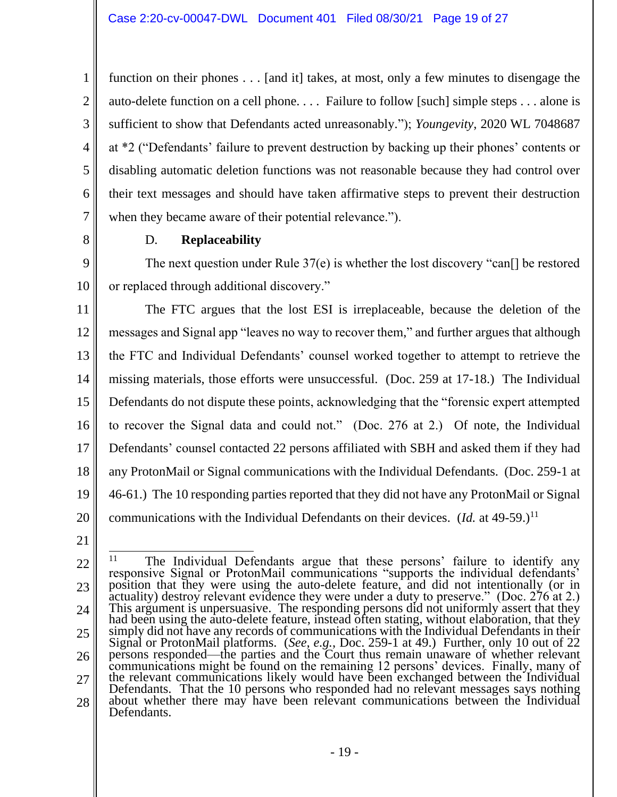disabling automatic deletion functions was not reasonable because they had control over function on their phones . . . [and it] takes, at most, only a few minutes to disengage the auto-delete function on a cell phone. . . . Failure to follow [such] simple steps . . . alone is sufficient to show that Defendants acted unreasonably."); *Youngevity*, 2020 WL 7048687 at \*2 ("Defendants' failure to prevent destruction by backing up their phones' contents or their text messages and should have taken affirmative steps to prevent their destruction when they became aware of their potential relevance.").

8

1

2

3

4

5

6

7

# D. **Replaceability**

 The next question under Rule 37(e) is whether the lost discovery "can[] be restored or replaced through additional discovery." 9 10

 The FTC argues that the lost ESI is irreplaceable, because the deletion of the missing materials, those efforts were unsuccessful. (Doc. 259 at 17-18.) The Individual Defendants do not dispute these points, acknowledging that the "forensic expert attempted to recover the Signal data and could not." (Doc. 276 at 2.) Of note, the Individual communications with the Individual Defendants on their devices. (*Id.* at 49-59.)<sup>11</sup> 11 12 13 14 15 16 17 18 19 20 messages and Signal app "leaves no way to recover them," and further argues that although the FTC and Individual Defendants' counsel worked together to attempt to retrieve the Defendants' counsel contacted 22 persons affiliated with SBH and asked them if they had any ProtonMail or Signal communications with the Individual Defendants. (Doc. 259-1 at 46-61.) The 10 responding parties reported that they did not have any ProtonMail or Signal

<sup>&</sup>lt;sup>11</sup> The Individual Defendants argue that these persons' failure to identify any responsive Signal or ProtonMail communications "supports the individual defendants' Signal or ProtonMail platforms. (*See, e.g.*, Doc. 259-1 at 49.) Further, only 10 out of 22 persons responded—the parties and the Court thus remain unaware of whether relevant the relevant communications likely would have been exchanged between the Individual about whether there may have been relevant communications between the Individual 22 23 24 25 26 27 28 position that they were using the auto-delete feature, and did not intentionally (or in actuality) destroy relevant evidence they were under a duty to preserve." (Doc. 276 at 2.) This argument is unpersuasive. The respondi had been using the auto-delete feature, instead often stating, without elaboration, that they simply did not have any records of communications with the Individual Defendants in their communications might be found on the remaining 12 persons' devices. Finally, many of Defendants. That the 10 persons who responded had no relevant messages says nothing Defendants.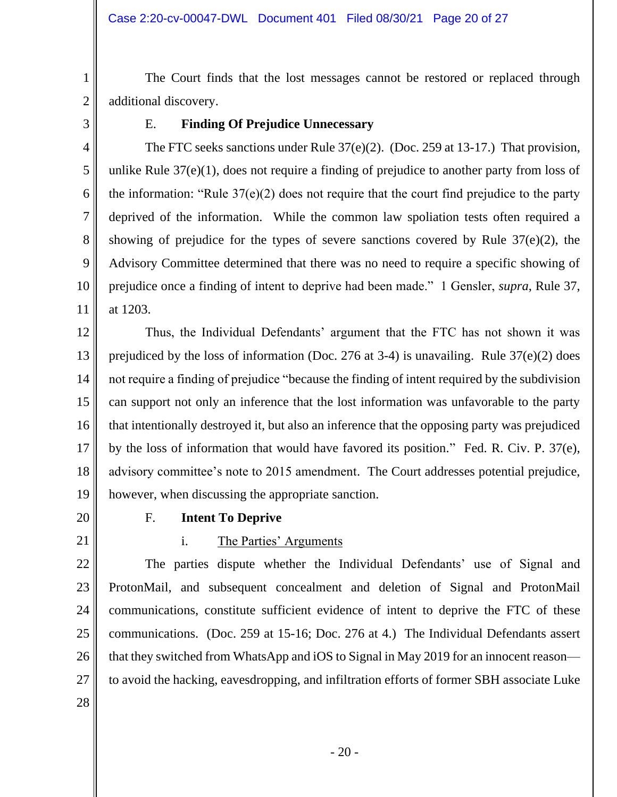The Court finds that the lost messages cannot be restored or replaced through additional discovery.

3

1

2

4

5

6

7

8

9

10

11

## E. **Finding Of Prejudice Unnecessary**

 The FTC seeks sanctions under Rule 37(e)(2). (Doc. 259 at 13-17.) That provision, unlike Rule 37(e)(1), does not require a finding of prejudice to another party from loss of Advisory Committee determined that there was no need to require a specific showing of prejudice once a finding of intent to deprive had been made." 1 Gensler, *supra*, Rule 37, the information: "Rule 37(e)(2) does not require that the court find prejudice to the party deprived of the information. While the common law spoliation tests often required a showing of prejudice for the types of severe sanctions covered by Rule 37(e)(2), the at 1203.

12 13 14 15 16 17 18 19 Thus, the Individual Defendants' argument that the FTC has not shown it was prejudiced by the loss of information (Doc. 276 at 3-4) is unavailing. Rule 37(e)(2) does not require a finding of prejudice "because the finding of intent required by the subdivision can support not only an inference that the lost information was unfavorable to the party that intentionally destroyed it, but also an inference that the opposing party was prejudiced by the loss of information that would have favored its position." Fed. R. Civ. P. 37(e), advisory committee's note to 2015 amendment. The Court addresses potential prejudice, however, when discussing the appropriate sanction.

20

### F. **Intent To Deprive**

21

# i. The Parties' Arguments

 communications. (Doc. 259 at 15-16; Doc. 276 at 4.) The Individual Defendants assert 22 23 24 25 26 27 The parties dispute whether the Individual Defendants' use of Signal and ProtonMail, and subsequent concealment and deletion of Signal and ProtonMail communications, constitute sufficient evidence of intent to deprive the FTC of these that they switched from WhatsApp and iOS to Signal in May 2019 for an innocent reason to avoid the hacking, eavesdropping, and infiltration efforts of former SBH associate Luke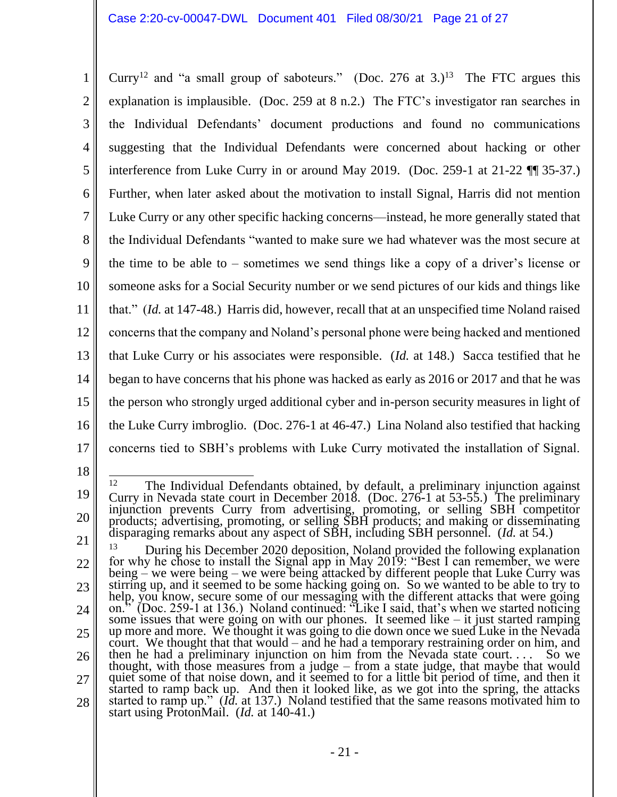Curry<sup>12</sup> and "a small group of saboteurs." (Doc. 276 at 3.)<sup>13</sup> The FTC argues this interference from Luke Curry in or around May 2019. (Doc. 259-1 at 21-22 ¶¶ 35-37.) the Individual Defendants "wanted to make sure we had whatever was the most secure at the time to be able to – sometimes we send things like a copy of a driver's license or the person who strongly urged additional cyber and in-person security measures in light of concerns tied to SBH's problems with Luke Curry motivated the installation of Signal. 1 2 3 4 5 6 7 8 9 10 11 12 13 14 15 16 17 explanation is implausible. (Doc. 259 at 8 n.2.) The FTC's investigator ran searches in the Individual Defendants' document productions and found no communications suggesting that the Individual Defendants were concerned about hacking or other Further, when later asked about the motivation to install Signal, Harris did not mention Luke Curry or any other specific hacking concerns—instead, he more generally stated that someone asks for a Social Security number or we send pictures of our kids and things like that." (*Id.* at 147-48.) Harris did, however, recall that at an unspecified time Noland raised concerns that the company and Noland's personal phone were being hacked and mentioned that Luke Curry or his associates were responsible. (*Id.* at 148.) Sacca testified that he began to have concerns that his phone was hacked as early as 2016 or 2017 and that he was the Luke Curry imbroglio. (Doc. 276-1 at 46-47.) Lina Noland also testified that hacking

<sup>19</sup> 20 <sup>12</sup> The Individual Defendants obtained, by default, a preliminary injunction against Curry in Nevada state court in December 2018. (Doc. 276-1 at 53-55.) The preliminary injunction prevents Curry from advertising, promot products; advertising, promoting, or selling SBH products; and making or disseminating disparaging remarks about any aspect of SBH, including SBH personnel. (*Id.* at 54.)

During his December 2020 deposition, Noland provided the following explanation help, you know, secure some of our messaging with the different attacks that were going on." (Doc. 259-1 at 136.) Noland continued: "Like I said, that's when we started noticing<br>some issues that were going on with our phones. It seemed like – it just started ramping<br>up more and more. We thought it was going t then he had a preliminary injunction on him from the Nevada state court... 21 22 23 24 25 26 27 28 <sup>13</sup> During his December 2020 deposition, Noland provided the following explanation for why he chose to install the Signal app in May 2019: "Best I can remember, we were being – we were being – we were being attacked by different people that Luke Curry was stirring up, and it seemed to be some hacking going on. So we wanted to be able to try to court. We thought that that would – and he had a temporary restraining order on him, and then he had a preliminary injunction on him from the Nevada state court. . . . So we thought, with those measures from a judge – from a state judge, that maybe that would<br>quiet some of that noise down, and it seemed to for a little bit period of time, and then it<br>started to ramp back up. And then it looked started to ramp up." (*Id.* at 137.) Noland testified that the same reasons motivated him to start using ProtonMail. (*Id.* at 140-41.)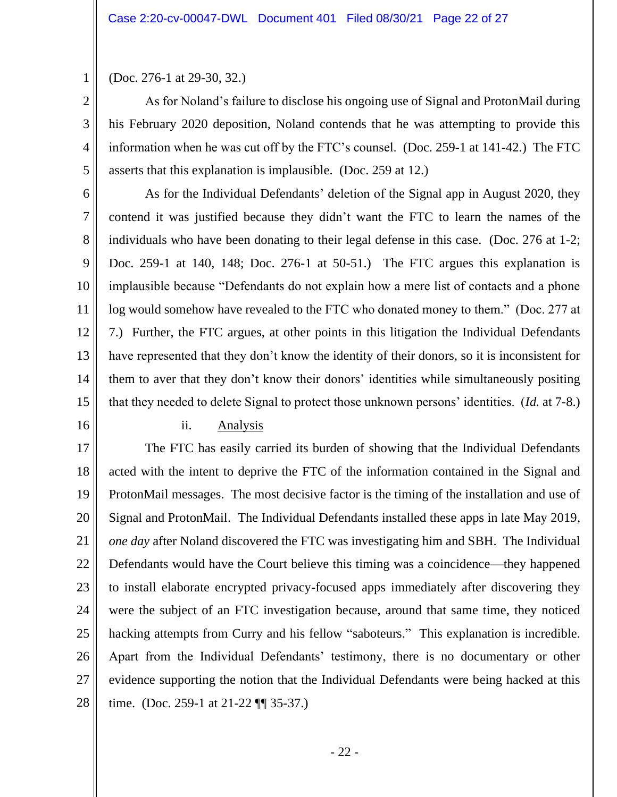(Doc. 276-1 at 29-30, 32.)

 As for Noland's failure to disclose his ongoing use of Signal and ProtonMail during information when he was cut off by the FTC's counsel. (Doc. 259-1 at 141-42.) The FTC his February 2020 deposition, Noland contends that he was attempting to provide this asserts that this explanation is implausible. (Doc. 259 at 12.)

 log would somehow have revealed to the FTC who donated money to them." (Doc. 277 at 6 7 8 9 10 11 12 13 14 15 As for the Individual Defendants' deletion of the Signal app in August 2020, they contend it was justified because they didn't want the FTC to learn the names of the individuals who have been donating to their legal defense in this case. (Doc. 276 at 1-2; Doc. 259-1 at 140, 148; Doc. 276-1 at 50-51.) The FTC argues this explanation is implausible because "Defendants do not explain how a mere list of contacts and a phone 7.) Further, the FTC argues, at other points in this litigation the Individual Defendants have represented that they don't know the identity of their donors, so it is inconsistent for them to aver that they don't know their donors' identities while simultaneously positing that they needed to delete Signal to protect those unknown persons' identities. (*Id.* at 7-8.)

16

1

2

3

4

5

### ii. Analysis

 ProtonMail messages. The most decisive factor is the timing of the installation and use of *one day* after Noland discovered the FTC was investigating him and SBH. The Individual Defendants would have the Court believe this timing was a coincidence—they happened hacking attempts from Curry and his fellow "saboteurs." This explanation is incredible. 17 18 19 20 21 22 23 24 25 26 27 28 The FTC has easily carried its burden of showing that the Individual Defendants acted with the intent to deprive the FTC of the information contained in the Signal and Signal and ProtonMail. The Individual Defendants installed these apps in late May 2019, to install elaborate encrypted privacy-focused apps immediately after discovering they were the subject of an FTC investigation because, around that same time, they noticed Apart from the Individual Defendants' testimony, there is no documentary or other evidence supporting the notion that the Individual Defendants were being hacked at this time. (Doc. 259-1 at 21-22 ¶¶ 35-37.)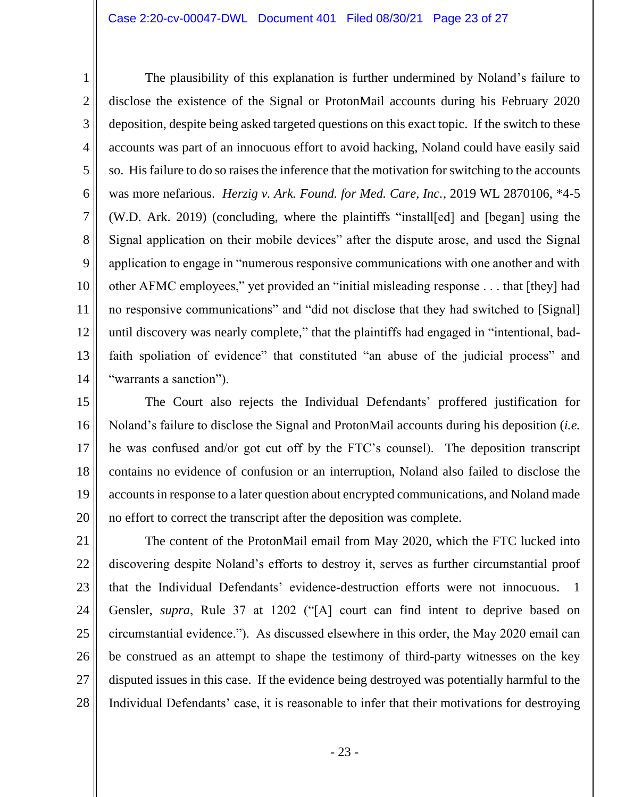The plausibility of this explanation is further undermined by Noland's failure to deposition, despite being asked targeted questions on this exact topic. If the switch to these so. His failure to do so raises the inference that the motivation for switching to the accounts was more nefarious. *Herzig v. Ark. Found. for Med. Care, Inc.*, 2019 WL 2870106, \*4-5 application to engage in "numerous responsive communications with one another and with other AFMC employees," yet provided an "initial misleading response . . . that [they] had until discovery was nearly complete," that the plaintiffs had engaged in "intentional, bad- "warrants a sanction"). 1 2 3 4 5 6 7 8 9 10 11 12 13 14 disclose the existence of the Signal or ProtonMail accounts during his February 2020 accounts was part of an innocuous effort to avoid hacking, Noland could have easily said (W.D. Ark. 2019) (concluding, where the plaintiffs "install[ed] and [began] using the Signal application on their mobile devices" after the dispute arose, and used the Signal no responsive communications" and "did not disclose that they had switched to [Signal] faith spoliation of evidence" that constituted "an abuse of the judicial process" and

 he was confused and/or got cut off by the FTC's counsel). The deposition transcript 15 16 17 18 19 20 The Court also rejects the Individual Defendants' proffered justification for Noland's failure to disclose the Signal and ProtonMail accounts during his deposition (*i.e.*  contains no evidence of confusion or an interruption, Noland also failed to disclose the accounts in response to a later question about encrypted communications, and Noland made no effort to correct the transcript after the deposition was complete.

 discovering despite Noland's efforts to destroy it, serves as further circumstantial proof  $\overline{1}$  Gensler, *supra*, Rule 37 at 1202 ("[A] court can find intent to deprive based on disputed issues in this case. If the evidence being destroyed was potentially harmful to the Individual Defendants' case, it is reasonable to infer that their motivations for destroying 21 22 23 24 25 26 27 28 The content of the ProtonMail email from May 2020, which the FTC lucked into that the Individual Defendants' evidence-destruction efforts were not innocuous. 1 circumstantial evidence."). As discussed elsewhere in this order, the May 2020 email can be construed as an attempt to shape the testimony of third-party witnesses on the key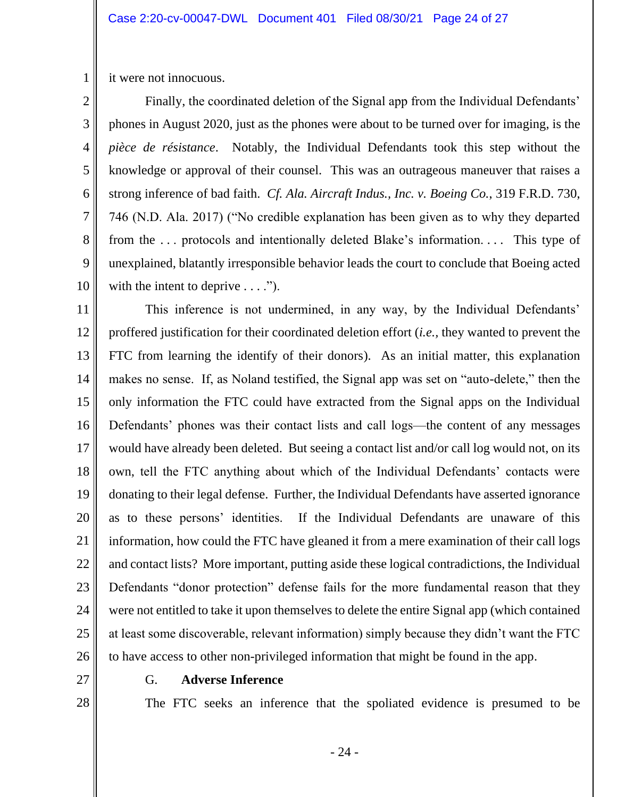it were not innocuous.

1

2

3

4

8

9

10

 *pièce de résistance*. Notably, the Individual Defendants took this step without the knowledge or approval of their counsel. This was an outrageous maneuver that raises a unexplained, blatantly irresponsible behavior leads the court to conclude that Boeing acted 5 6 7 Finally, the coordinated deletion of the Signal app from the Individual Defendants' phones in August 2020, just as the phones were about to be turned over for imaging, is the strong inference of bad faith. *Cf. Ala. Aircraft Indus., Inc. v. Boeing Co.*, 319 F.R.D. 730, 746 (N.D. Ala. 2017) ("No credible explanation has been given as to why they departed from the ... protocols and intentionally deleted Blake's information.... This type of with the intent to deprive  $\dots$ .").

 proffered justification for their coordinated deletion effort (*i.e.,* they wanted to prevent the FTC from learning the identify of their donors). As an initial matter, this explanation would have already been deleted. But seeing a contact list and/or call log would not, on its own, tell the FTC anything about which of the Individual Defendants' contacts were as to these persons' identities. If the Individual Defendants are unaware of this information, how could the FTC have gleaned it from a mere examination of their call logs 11 12 13 14 15 16 17 18 19 20 21 22 23 24 25 26 This inference is not undermined, in any way, by the Individual Defendants' makes no sense. If, as Noland testified, the Signal app was set on "auto-delete," then the only information the FTC could have extracted from the Signal apps on the Individual Defendants' phones was their contact lists and call logs—the content of any messages donating to their legal defense. Further, the Individual Defendants have asserted ignorance and contact lists? More important, putting aside these logical contradictions, the Individual Defendants "donor protection" defense fails for the more fundamental reason that they were not entitled to take it upon themselves to delete the entire Signal app (which contained at least some discoverable, relevant information) simply because they didn't want the FTC to have access to other non-privileged information that might be found in the app.

27

28

G. **Adverse Inference** 

The FTC seeks an inference that the spoliated evidence is presumed to be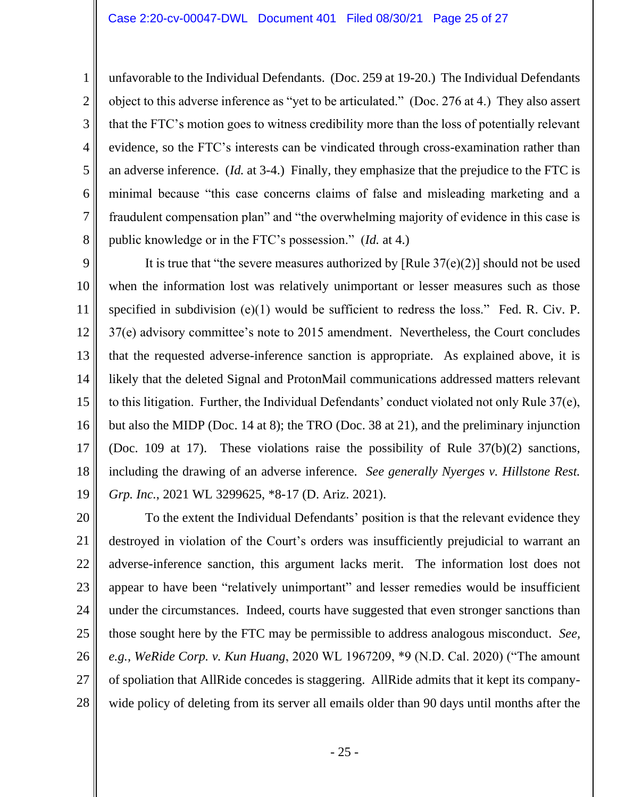1

2

3

8

 unfavorable to the Individual Defendants. (Doc. 259 at 19-20.) The Individual Defendants object to this adverse inference as "yet to be articulated." (Doc. 276 at 4.) They also assert that the FTC's motion goes to witness credibility more than the loss of potentially relevant evidence, so the FTC's interests can be vindicated through cross-examination rather than an adverse inference. (*Id.* at 3-4.) Finally, they emphasize that the prejudice to the FTC is minimal because "this case concerns claims of false and misleading marketing and a fraudulent compensation plan" and "the overwhelming majority of evidence in this case is 4 5 6 7 public knowledge or in the FTC's possession." (*Id.* at 4.)

 that the requested adverse-inference sanction is appropriate. As explained above, it is to this litigation. Further, the Individual Defendants' conduct violated not only Rule 37(e), but also the MIDP (Doc. 14 at 8); the TRO (Doc. 38 at 21), and the preliminary injunction including the drawing of an adverse inference. *See generally Nyerges v. Hillstone Rest.*  9 10 11 12 13 14 15 16 17 18 19 It is true that "the severe measures authorized by [Rule  $37(e)(2)$ ] should not be used when the information lost was relatively unimportant or lesser measures such as those specified in subdivision  $(e)(1)$  would be sufficient to redress the loss." Fed. R. Civ. P. 37(e) advisory committee's note to 2015 amendment. Nevertheless, the Court concludes likely that the deleted Signal and ProtonMail communications addressed matters relevant (Doc. 109 at 17). These violations raise the possibility of Rule 37(b)(2) sanctions, *Grp. Inc.*, 2021 WL 3299625, \*8-17 (D. Ariz. 2021).

 appear to have been "relatively unimportant" and lesser remedies would be insufficient under the circumstances. Indeed, courts have suggested that even stronger sanctions than *e.g., WeRide Corp. v. Kun Huang*, 2020 WL 1967209, \*9 (N.D. Cal. 2020) ("The amount 20 21 22 23 24 25 26 27 28 To the extent the Individual Defendants' position is that the relevant evidence they destroyed in violation of the Court's orders was insufficiently prejudicial to warrant an adverse-inference sanction, this argument lacks merit. The information lost does not those sought here by the FTC may be permissible to address analogous misconduct. *See,*  of spoliation that AllRide concedes is staggering. AllRide admits that it kept its companywide policy of deleting from its server all emails older than 90 days until months after the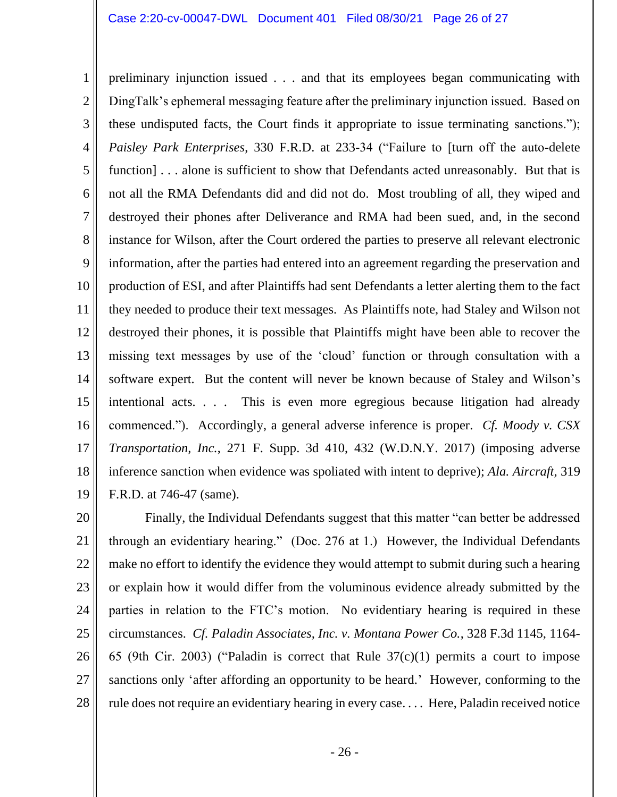preliminary injunction issued . . . and that its employees began communicating with DingTalk's ephemeral messaging feature after the preliminary injunction issued. Based on these undisputed facts, the Court finds it appropriate to issue terminating sanctions."); not all the RMA Defendants did and did not do. Most troubling of all, they wiped and information, after the parties had entered into an agreement regarding the preservation and production of ESI, and after Plaintiffs had sent Defendants a letter alerting them to the fact software expert. But the content will never be known because of Staley and Wilson's commenced."). Accordingly, a general adverse inference is proper. *Cf. Moody v. CSX*  1 2 3 4 5 6 7 8 9 10 11 12 13 14 15 16 17 18 19 *Paisley Park Enterprises*, 330 F.R.D. at 233-34 ("Failure to [turn off the auto-delete function] . . . alone is sufficient to show that Defendants acted unreasonably. But that is destroyed their phones after Deliverance and RMA had been sued, and, in the second instance for Wilson, after the Court ordered the parties to preserve all relevant electronic they needed to produce their text messages. As Plaintiffs note, had Staley and Wilson not destroyed their phones, it is possible that Plaintiffs might have been able to recover the missing text messages by use of the 'cloud' function or through consultation with a intentional acts. . . . This is even more egregious because litigation had already *Transportation, Inc.*, 271 F. Supp. 3d 410, 432 (W.D.N.Y. 2017) (imposing adverse inference sanction when evidence was spoliated with intent to deprive); *Ala. Aircraft*, 319 F.R.D. at 746-47 (same).

 Finally, the Individual Defendants suggest that this matter "can better be addressed through an evidentiary hearing." (Doc. 276 at 1.) However, the Individual Defendants make no effort to identify the evidence they would attempt to submit during such a hearing parties in relation to the FTC's motion. No evidentiary hearing is required in these 65 (9th Cir. 2003) ("Paladin is correct that Rule 37(c)(1) permits a court to impose sanctions only 'after affording an opportunity to be heard.' However, conforming to the rule does not require an evidentiary hearing in every case. . . . Here, Paladin received notice 20 21 22 23 24 25 26 27 28 or explain how it would differ from the voluminous evidence already submitted by the circumstances. *Cf. Paladin Associates, Inc. v. Montana Power Co.*, 328 F.3d 1145, 1164